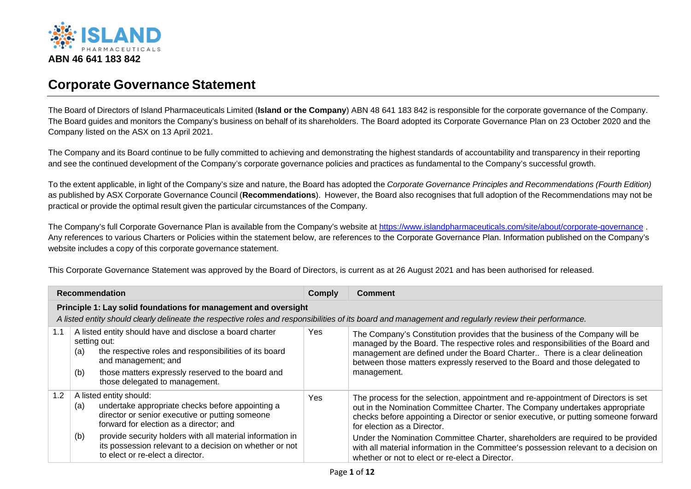

## **Corporate Governance Statement**

The Board of Directors of Island Pharmaceuticals Limited (**Island or the Company**) ABN 48 641 183 842 is responsible for the corporate governance of the Company. The Board guides and monitors the Company's business on behalf of its shareholders. The Board adopted its Corporate Governance Plan on 23 October 2020 and the Company listed on the ASX on 13 April 2021.

The Company and its Board continue to be fully committed to achieving and demonstrating the highest standards of accountability and transparency in their reporting and see the continued development of the Company's corporate governance policies and practices as fundamental to the Company's successful growth.

To the extent applicable, in light of the Company's size and nature, the Board has adopted the *Corporate Governance Principles and Recommendations (Fourth Edition)* as published by ASX Corporate Governance Council (**Recommendations**). However, the Board also recognises that full adoption of the Recommendations may not be practical or provide the optimal result given the particular circumstances of the Company.

The Company's full Corporate Governance Plan is available from the Company's website at<https://www.islandpharmaceuticals.com/site/about/corporate-governance> . Any references to various Charters or Policies within the statement below, are references to the Corporate Governance Plan. Information published on the Company's website includes a copy of this corporate governance statement.

This Corporate Governance Statement was approved by the Board of Directors, is current as at 26 August 2021 and has been authorised for released.

| <b>Recommendation</b> |                                                                 |                                                                                                                                                                                                                                                  | Comply | <b>Comment</b>                                                                                                                                                                                                                                                                                                                                                             |  |  |  |
|-----------------------|-----------------------------------------------------------------|--------------------------------------------------------------------------------------------------------------------------------------------------------------------------------------------------------------------------------------------------|--------|----------------------------------------------------------------------------------------------------------------------------------------------------------------------------------------------------------------------------------------------------------------------------------------------------------------------------------------------------------------------------|--|--|--|
|                       | Principle 1: Lay solid foundations for management and oversight |                                                                                                                                                                                                                                                  |        |                                                                                                                                                                                                                                                                                                                                                                            |  |  |  |
|                       |                                                                 |                                                                                                                                                                                                                                                  |        | A listed entity should clearly delineate the respective roles and responsibilities of its board and management and regularly review their performance.                                                                                                                                                                                                                     |  |  |  |
| 1.1                   | (a)<br>(b)                                                      | A listed entity should have and disclose a board charter<br>setting out:<br>the respective roles and responsibilities of its board<br>and management; and<br>those matters expressly reserved to the board and<br>those delegated to management. | Yes.   | The Company's Constitution provides that the business of the Company will be<br>managed by the Board. The respective roles and responsibilities of the Board and<br>management are defined under the Board Charter There is a clear delineation<br>between those matters expressly reserved to the Board and those delegated to<br>management.                             |  |  |  |
| 1.2                   | (a)<br>(b)                                                      | A listed entity should:<br>undertake appropriate checks before appointing a<br>director or senior executive or putting someone<br>forward for election as a director; and<br>provide security holders with all material information in           | Yes    | The process for the selection, appointment and re-appointment of Directors is set<br>out in the Nomination Committee Charter. The Company undertakes appropriate<br>checks before appointing a Director or senior executive, or putting someone forward<br>for election as a Director.<br>Under the Nomination Committee Charter, shareholders are required to be provided |  |  |  |
|                       |                                                                 | its possession relevant to a decision on whether or not<br>to elect or re-elect a director.                                                                                                                                                      |        | with all material information in the Committee's possession relevant to a decision on<br>whether or not to elect or re-elect a Director.                                                                                                                                                                                                                                   |  |  |  |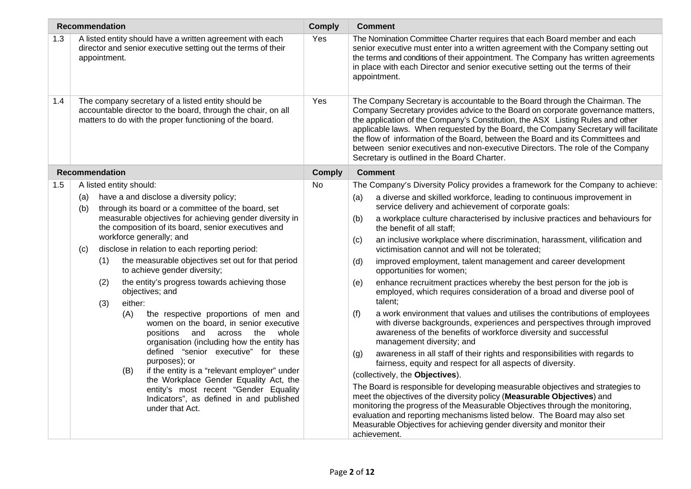|     | <b>Recommendation</b> |                                                                            |                                                                                                                                                                                                                                              |                                                                                                                                                                               | <b>Comply</b> |                                                                                                                                                                                                                                                       | <b>Comment</b>                                                                                                                                                                                                                                                                                                                                                                                                                                                                                                                                             |
|-----|-----------------------|----------------------------------------------------------------------------|----------------------------------------------------------------------------------------------------------------------------------------------------------------------------------------------------------------------------------------------|-------------------------------------------------------------------------------------------------------------------------------------------------------------------------------|---------------|-------------------------------------------------------------------------------------------------------------------------------------------------------------------------------------------------------------------------------------------------------|------------------------------------------------------------------------------------------------------------------------------------------------------------------------------------------------------------------------------------------------------------------------------------------------------------------------------------------------------------------------------------------------------------------------------------------------------------------------------------------------------------------------------------------------------------|
| 1.3 | appointment.          |                                                                            |                                                                                                                                                                                                                                              | A listed entity should have a written agreement with each<br>director and senior executive setting out the terms of their                                                     | Yes           |                                                                                                                                                                                                                                                       | The Nomination Committee Charter requires that each Board member and each<br>senior executive must enter into a written agreement with the Company setting out<br>the terms and conditions of their appointment. The Company has written agreements<br>in place with each Director and senior executive setting out the terms of their<br>appointment.                                                                                                                                                                                                     |
| 1.4 |                       |                                                                            |                                                                                                                                                                                                                                              | The company secretary of a listed entity should be<br>accountable director to the board, through the chair, on all<br>matters to do with the proper functioning of the board. | Yes           |                                                                                                                                                                                                                                                       | The Company Secretary is accountable to the Board through the Chairman. The<br>Company Secretary provides advice to the Board on corporate governance matters,<br>the application of the Company's Constitution, the ASX Listing Rules and other<br>applicable laws. When requested by the Board, the Company Secretary will facilitate<br>the flow of information of the Board, between the Board and its Committees and<br>between senior executives and non-executive Directors. The role of the Company<br>Secretary is outlined in the Board Charter. |
|     | <b>Recommendation</b> |                                                                            |                                                                                                                                                                                                                                              |                                                                                                                                                                               | <b>Comply</b> |                                                                                                                                                                                                                                                       | <b>Comment</b>                                                                                                                                                                                                                                                                                                                                                                                                                                                                                                                                             |
| 1.5 |                       |                                                                            | A listed entity should:                                                                                                                                                                                                                      |                                                                                                                                                                               | No.           |                                                                                                                                                                                                                                                       | The Company's Diversity Policy provides a framework for the Company to achieve:                                                                                                                                                                                                                                                                                                                                                                                                                                                                            |
|     | (a)<br>(b)            |                                                                            |                                                                                                                                                                                                                                              | have a and disclose a diversity policy;<br>through its board or a committee of the board, set                                                                                 |               | (a)                                                                                                                                                                                                                                                   | a diverse and skilled workforce, leading to continuous improvement in<br>service delivery and achievement of corporate goals:                                                                                                                                                                                                                                                                                                                                                                                                                              |
|     |                       |                                                                            |                                                                                                                                                                                                                                              | measurable objectives for achieving gender diversity in<br>the composition of its board, senior executives and                                                                |               | (b)                                                                                                                                                                                                                                                   | a workplace culture characterised by inclusive practices and behaviours for<br>the benefit of all staff;                                                                                                                                                                                                                                                                                                                                                                                                                                                   |
|     | (c)                   | workforce generally; and<br>disclose in relation to each reporting period: |                                                                                                                                                                                                                                              |                                                                                                                                                                               | (c)           | an inclusive workplace where discrimination, harassment, vilification and<br>victimisation cannot and will not be tolerated;                                                                                                                          |                                                                                                                                                                                                                                                                                                                                                                                                                                                                                                                                                            |
|     |                       | (1)                                                                        |                                                                                                                                                                                                                                              | the measurable objectives set out for that period<br>to achieve gender diversity;                                                                                             |               | (d)                                                                                                                                                                                                                                                   | improved employment, talent management and career development<br>opportunities for women;                                                                                                                                                                                                                                                                                                                                                                                                                                                                  |
|     |                       | (2)                                                                        |                                                                                                                                                                                                                                              | the entity's progress towards achieving those<br>objectives; and                                                                                                              |               | (e)                                                                                                                                                                                                                                                   | enhance recruitment practices whereby the best person for the job is<br>employed, which requires consideration of a broad and diverse pool of                                                                                                                                                                                                                                                                                                                                                                                                              |
|     |                       | (3)                                                                        | either:                                                                                                                                                                                                                                      |                                                                                                                                                                               |               |                                                                                                                                                                                                                                                       | talent;                                                                                                                                                                                                                                                                                                                                                                                                                                                                                                                                                    |
|     |                       |                                                                            | the respective proportions of men and<br>(A)<br>women on the board, in senior executive<br>and<br>whole<br>positions<br>across<br>the<br>organisation (including how the entity has<br>defined "senior executive" for these<br>purposes); or |                                                                                                                                                                               | (f)           | a work environment that values and utilises the contributions of employees<br>with diverse backgrounds, experiences and perspectives through improved<br>awareness of the benefits of workforce diversity and successful<br>management diversity; and |                                                                                                                                                                                                                                                                                                                                                                                                                                                                                                                                                            |
|     |                       |                                                                            |                                                                                                                                                                                                                                              |                                                                                                                                                                               | (g)           | awareness in all staff of their rights and responsibilities with regards to<br>fairness, equity and respect for all aspects of diversity.                                                                                                             |                                                                                                                                                                                                                                                                                                                                                                                                                                                                                                                                                            |
|     |                       |                                                                            | (B)                                                                                                                                                                                                                                          | if the entity is a "relevant employer" under<br>the Workplace Gender Equality Act, the                                                                                        |               |                                                                                                                                                                                                                                                       | (collectively, the Objectives).                                                                                                                                                                                                                                                                                                                                                                                                                                                                                                                            |
|     |                       |                                                                            |                                                                                                                                                                                                                                              | entity's most recent "Gender Equality<br>Indicators", as defined in and published<br>under that Act.                                                                          |               |                                                                                                                                                                                                                                                       | The Board is responsible for developing measurable objectives and strategies to<br>meet the objectives of the diversity policy (Measurable Objectives) and<br>monitoring the progress of the Measurable Objectives through the monitoring,<br>evaluation and reporting mechanisms listed below. The Board may also set<br>Measurable Objectives for achieving gender diversity and monitor their<br>achievement.                                                                                                                                           |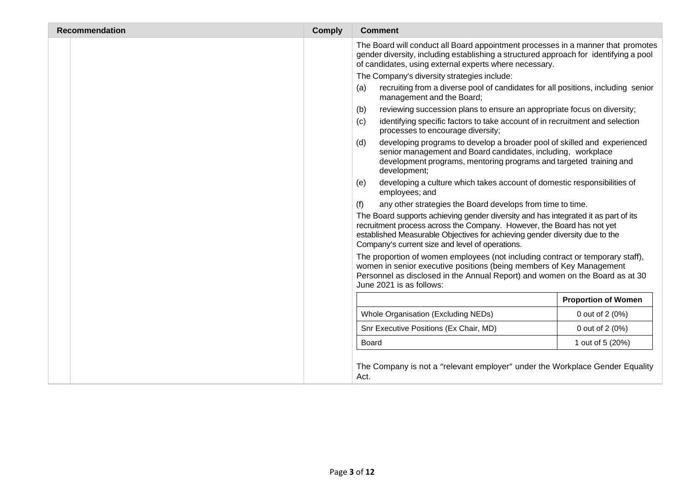| <b>Recommendation</b> | <b>Comply</b> | <b>Comment</b>                                                                                                                                                                                                                                                                                 |                            |
|-----------------------|---------------|------------------------------------------------------------------------------------------------------------------------------------------------------------------------------------------------------------------------------------------------------------------------------------------------|----------------------------|
|                       |               | The Board will conduct all Board appointment processes in a manner that promotes<br>gender diversity, including establishing a structured approach for identifying a pool<br>of candidates, using external experts where necessary.                                                            |                            |
|                       |               | The Company's diversity strategies include:                                                                                                                                                                                                                                                    |                            |
|                       |               | recruiting from a diverse pool of candidates for all positions, including senior<br>(a)<br>management and the Board;                                                                                                                                                                           |                            |
|                       |               | reviewing succession plans to ensure an appropriate focus on diversity;<br>(b)                                                                                                                                                                                                                 |                            |
|                       |               | identifying specific factors to take account of in recruitment and selection<br>(c)<br>processes to encourage diversity;                                                                                                                                                                       |                            |
|                       |               | developing programs to develop a broader pool of skilled and experienced<br>(d)<br>senior management and Board candidates, including, workplace<br>development programs, mentoring programs and targeted training and<br>development;                                                          |                            |
|                       |               | developing a culture which takes account of domestic responsibilities of<br>(e)<br>employees; and                                                                                                                                                                                              |                            |
|                       |               | any other strategies the Board develops from time to time.<br>(f)                                                                                                                                                                                                                              |                            |
|                       |               | The Board supports achieving gender diversity and has integrated it as part of its<br>recruitment process across the Company. However, the Board has not yet<br>established Measurable Objectives for achieving gender diversity due to the<br>Company's current size and level of operations. |                            |
|                       |               | The proportion of women employees (not including contract or temporary staff),<br>women in senior executive positions (being members of Key Management<br>Personnel as disclosed in the Annual Report) and women on the Board as at 30<br>June 2021 is as follows:                             |                            |
|                       |               |                                                                                                                                                                                                                                                                                                | <b>Proportion of Women</b> |
|                       |               | Whole Organisation (Excluding NEDs)                                                                                                                                                                                                                                                            | 0 out of 2 (0%)            |
|                       |               | Snr Executive Positions (Ex Chair, MD)                                                                                                                                                                                                                                                         | 0 out of 2 (0%)            |
|                       |               | Board                                                                                                                                                                                                                                                                                          | 1 out of 5 (20%)           |
|                       |               | The Company is not a "relevant employer" under the Workplace Gender Equality<br>Act.                                                                                                                                                                                                           |                            |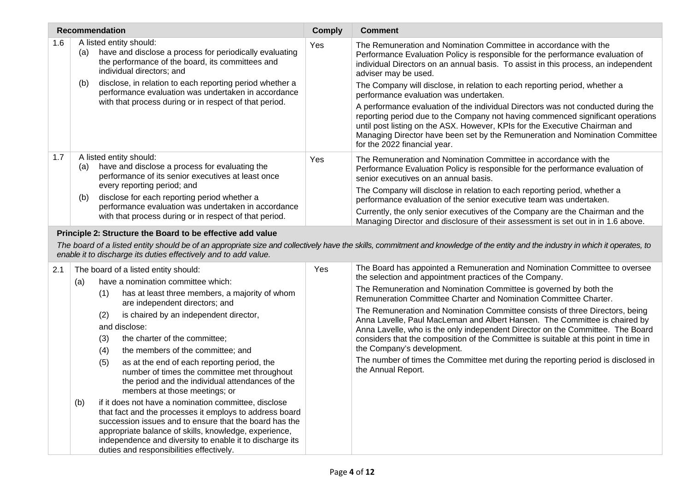|     | <b>Recommendation</b>                                                                                                                                                                                                                                                                                                                             | <b>Comply</b> | <b>Comment</b>                                                                                                                                                                                                                                                                                                                                                                                                                                                                              |
|-----|---------------------------------------------------------------------------------------------------------------------------------------------------------------------------------------------------------------------------------------------------------------------------------------------------------------------------------------------------|---------------|---------------------------------------------------------------------------------------------------------------------------------------------------------------------------------------------------------------------------------------------------------------------------------------------------------------------------------------------------------------------------------------------------------------------------------------------------------------------------------------------|
| 1.6 | A listed entity should:<br>have and disclose a process for periodically evaluating<br>(a)<br>the performance of the board, its committees and<br>individual directors; and                                                                                                                                                                        | Yes           | The Remuneration and Nomination Committee in accordance with the<br>Performance Evaluation Policy is responsible for the performance evaluation of<br>individual Directors on an annual basis. To assist in this process, an independent<br>adviser may be used.                                                                                                                                                                                                                            |
|     | disclose, in relation to each reporting period whether a<br>(b)<br>performance evaluation was undertaken in accordance<br>with that process during or in respect of that period.                                                                                                                                                                  |               | The Company will disclose, in relation to each reporting period, whether a<br>performance evaluation was undertaken.<br>A performance evaluation of the individual Directors was not conducted during the<br>reporting period due to the Company not having commenced significant operations<br>until post listing on the ASX. However, KPIs for the Executive Chairman and<br>Managing Director have been set by the Remuneration and Nomination Committee<br>for the 2022 financial year. |
| 1.7 | A listed entity should:<br>have and disclose a process for evaluating the<br>(a)<br>performance of its senior executives at least once                                                                                                                                                                                                            |               | The Remuneration and Nomination Committee in accordance with the<br>Performance Evaluation Policy is responsible for the performance evaluation of<br>senior executives on an annual basis.                                                                                                                                                                                                                                                                                                 |
|     | every reporting period; and<br>disclose for each reporting period whether a<br>(b)<br>performance evaluation was undertaken in accordance<br>with that process during or in respect of that period.                                                                                                                                               |               | The Company will disclose in relation to each reporting period, whether a<br>performance evaluation of the senior executive team was undertaken.                                                                                                                                                                                                                                                                                                                                            |
|     |                                                                                                                                                                                                                                                                                                                                                   |               | Currently, the only senior executives of the Company are the Chairman and the<br>Managing Director and disclosure of their assessment is set out in in 1.6 above.                                                                                                                                                                                                                                                                                                                           |
|     | Principle 2: Structure the Board to be effective add value<br>enable it to discharge its duties effectively and to add value.                                                                                                                                                                                                                     |               | The board of a listed entity should be of an appropriate size and collectively have the skills, commitment and knowledge of the entity and the industry in which it operates, to                                                                                                                                                                                                                                                                                                            |
| 2.1 | The board of a listed entity should:<br>have a nomination committee which:                                                                                                                                                                                                                                                                        | Yes           | The Board has appointed a Remuneration and Nomination Committee to oversee<br>the selection and appointment practices of the Company.                                                                                                                                                                                                                                                                                                                                                       |
|     | (a)<br>(1)<br>has at least three members, a majority of whom<br>are independent directors; and<br>(2)<br>is chaired by an independent director,<br>and disclose:<br>the charter of the committee;<br>(3)<br>the members of the committee; and<br>(4)                                                                                              |               | The Remuneration and Nomination Committee is governed by both the<br>Remuneration Committee Charter and Nomination Committee Charter.                                                                                                                                                                                                                                                                                                                                                       |
|     |                                                                                                                                                                                                                                                                                                                                                   |               | The Remuneration and Nomination Committee consists of three Directors, being<br>Anna Lavelle, Paul MacLeman and Albert Hansen. The Committee is chaired by<br>Anna Lavelle, who is the only independent Director on the Committee. The Board<br>considers that the composition of the Committee is suitable at this point in time in<br>the Company's development.                                                                                                                          |
|     | as at the end of each reporting period, the<br>(5)<br>number of times the committee met throughout<br>the period and the individual attendances of the<br>members at those meetings; or                                                                                                                                                           |               | The number of times the Committee met during the reporting period is disclosed in<br>the Annual Report.                                                                                                                                                                                                                                                                                                                                                                                     |
|     | if it does not have a nomination committee, disclose<br>(b)<br>that fact and the processes it employs to address board<br>succession issues and to ensure that the board has the<br>appropriate balance of skills, knowledge, experience,<br>independence and diversity to enable it to discharge its<br>duties and responsibilities effectively. |               |                                                                                                                                                                                                                                                                                                                                                                                                                                                                                             |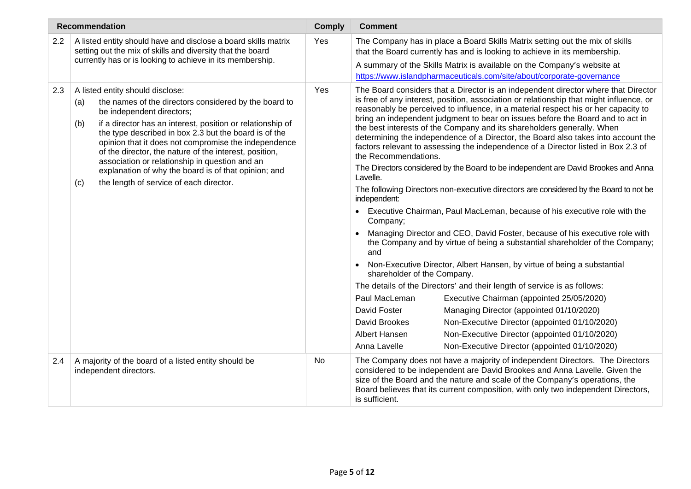|     | <b>Recommendation</b>                                                                                                                                                                                                                                                                                                                                                                                                                                                                                                                     | <b>Comply</b> | <b>Comment</b>                                                                                                                                                                                                                                                                                                                                                                                                                                                                                                                                                                                                                                                                                                                                                                                                                                                                                                                                                                                                                                                                                                                                                                                                                                                                                                                                                                                                                                                                                                                                                                                                                                |
|-----|-------------------------------------------------------------------------------------------------------------------------------------------------------------------------------------------------------------------------------------------------------------------------------------------------------------------------------------------------------------------------------------------------------------------------------------------------------------------------------------------------------------------------------------------|---------------|-----------------------------------------------------------------------------------------------------------------------------------------------------------------------------------------------------------------------------------------------------------------------------------------------------------------------------------------------------------------------------------------------------------------------------------------------------------------------------------------------------------------------------------------------------------------------------------------------------------------------------------------------------------------------------------------------------------------------------------------------------------------------------------------------------------------------------------------------------------------------------------------------------------------------------------------------------------------------------------------------------------------------------------------------------------------------------------------------------------------------------------------------------------------------------------------------------------------------------------------------------------------------------------------------------------------------------------------------------------------------------------------------------------------------------------------------------------------------------------------------------------------------------------------------------------------------------------------------------------------------------------------------|
| 2.2 | A listed entity should have and disclose a board skills matrix<br>setting out the mix of skills and diversity that the board<br>currently has or is looking to achieve in its membership.                                                                                                                                                                                                                                                                                                                                                 |               | The Company has in place a Board Skills Matrix setting out the mix of skills<br>that the Board currently has and is looking to achieve in its membership.<br>A summary of the Skills Matrix is available on the Company's website at<br>https://www.islandpharmaceuticals.com/site/about/corporate-governance                                                                                                                                                                                                                                                                                                                                                                                                                                                                                                                                                                                                                                                                                                                                                                                                                                                                                                                                                                                                                                                                                                                                                                                                                                                                                                                                 |
| 2.3 | A listed entity should disclose:<br>the names of the directors considered by the board to<br>(a)<br>be independent directors;<br>if a director has an interest, position or relationship of<br>(b)<br>the type described in box 2.3 but the board is of the<br>opinion that it does not compromise the independence<br>of the director, the nature of the interest, position,<br>association or relationship in question and an<br>explanation of why the board is of that opinion; and<br>the length of service of each director.<br>(c) | Yes           | The Board considers that a Director is an independent director where that Director<br>is free of any interest, position, association or relationship that might influence, or<br>reasonably be perceived to influence, in a material respect his or her capacity to<br>bring an independent judgment to bear on issues before the Board and to act in<br>the best interests of the Company and its shareholders generally. When<br>determining the independence of a Director, the Board also takes into account the<br>factors relevant to assessing the independence of a Director listed in Box 2.3 of<br>the Recommendations.<br>The Directors considered by the Board to be independent are David Brookes and Anna<br>Lavelle.<br>The following Directors non-executive directors are considered by the Board to not be<br>independent:<br>Executive Chairman, Paul MacLeman, because of his executive role with the<br>Company;<br>Managing Director and CEO, David Foster, because of his executive role with<br>the Company and by virtue of being a substantial shareholder of the Company;<br>and<br>Non-Executive Director, Albert Hansen, by virtue of being a substantial<br>$\bullet$<br>shareholder of the Company.<br>The details of the Directors' and their length of service is as follows:<br>Paul MacLeman<br>Executive Chairman (appointed 25/05/2020)<br>David Foster<br>Managing Director (appointed 01/10/2020)<br>David Brookes<br>Non-Executive Director (appointed 01/10/2020)<br>Albert Hansen<br>Non-Executive Director (appointed 01/10/2020)<br>Non-Executive Director (appointed 01/10/2020)<br>Anna Lavelle |
| 2.4 | A majority of the board of a listed entity should be<br>independent directors.                                                                                                                                                                                                                                                                                                                                                                                                                                                            | No            | The Company does not have a majority of independent Directors. The Directors<br>considered to be independent are David Brookes and Anna Lavelle. Given the<br>size of the Board and the nature and scale of the Company's operations, the<br>Board believes that its current composition, with only two independent Directors,<br>is sufficient.                                                                                                                                                                                                                                                                                                                                                                                                                                                                                                                                                                                                                                                                                                                                                                                                                                                                                                                                                                                                                                                                                                                                                                                                                                                                                              |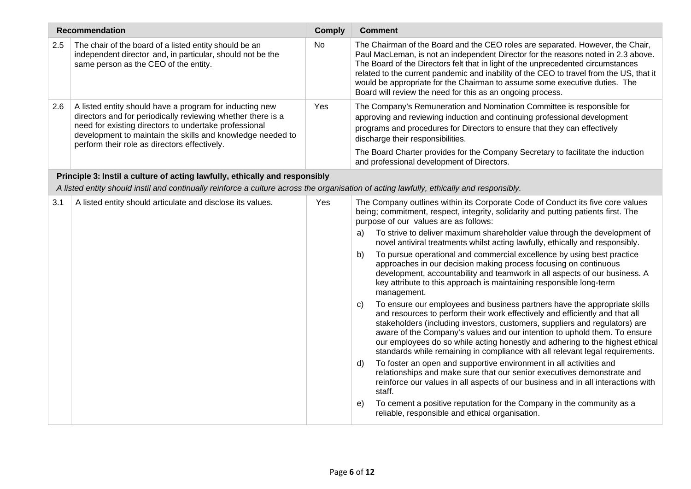| <b>Recommendation</b>                                                       |                                                                                                                                                                                                                                                                                               | <b>Comply</b> | <b>Comment</b>                                                                                                                                                                                                                                                                                                                                                                                                                                                                                                                                                            |  |  |
|-----------------------------------------------------------------------------|-----------------------------------------------------------------------------------------------------------------------------------------------------------------------------------------------------------------------------------------------------------------------------------------------|---------------|---------------------------------------------------------------------------------------------------------------------------------------------------------------------------------------------------------------------------------------------------------------------------------------------------------------------------------------------------------------------------------------------------------------------------------------------------------------------------------------------------------------------------------------------------------------------------|--|--|
| 2.5                                                                         | The chair of the board of a listed entity should be an<br>independent director and, in particular, should not be the<br>same person as the CEO of the entity.                                                                                                                                 | No            | The Chairman of the Board and the CEO roles are separated. However, the Chair,<br>Paul MacLeman, is not an independent Director for the reasons noted in 2.3 above.<br>The Board of the Directors felt that in light of the unprecedented circumstances<br>related to the current pandemic and inability of the CEO to travel from the US, that it<br>would be appropriate for the Chairman to assume some executive duties. The<br>Board will review the need for this as an ongoing process.                                                                            |  |  |
| 2.6                                                                         | A listed entity should have a program for inducting new<br>directors and for periodically reviewing whether there is a<br>need for existing directors to undertake professional<br>development to maintain the skills and knowledge needed to<br>perform their role as directors effectively. | Yes           | The Company's Remuneration and Nomination Committee is responsible for<br>approving and reviewing induction and continuing professional development<br>programs and procedures for Directors to ensure that they can effectively<br>discharge their responsibilities.<br>The Board Charter provides for the Company Secretary to facilitate the induction<br>and professional development of Directors.                                                                                                                                                                   |  |  |
| Principle 3: Instil a culture of acting lawfully, ethically and responsibly |                                                                                                                                                                                                                                                                                               |               |                                                                                                                                                                                                                                                                                                                                                                                                                                                                                                                                                                           |  |  |
|                                                                             | A listed entity should instil and continually reinforce a culture across the organisation of acting lawfully, ethically and responsibly.                                                                                                                                                      |               |                                                                                                                                                                                                                                                                                                                                                                                                                                                                                                                                                                           |  |  |
| 3.1                                                                         | A listed entity should articulate and disclose its values.                                                                                                                                                                                                                                    | Yes           | The Company outlines within its Corporate Code of Conduct its five core values<br>being; commitment, respect, integrity, solidarity and putting patients first. The<br>purpose of our values are as follows:                                                                                                                                                                                                                                                                                                                                                              |  |  |
|                                                                             |                                                                                                                                                                                                                                                                                               |               | To strive to deliver maximum shareholder value through the development of<br>a)<br>novel antiviral treatments whilst acting lawfully, ethically and responsibly.                                                                                                                                                                                                                                                                                                                                                                                                          |  |  |
|                                                                             |                                                                                                                                                                                                                                                                                               |               | To pursue operational and commercial excellence by using best practice<br>b)<br>approaches in our decision making process focusing on continuous<br>development, accountability and teamwork in all aspects of our business. A<br>key attribute to this approach is maintaining responsible long-term<br>management.                                                                                                                                                                                                                                                      |  |  |
|                                                                             |                                                                                                                                                                                                                                                                                               |               | To ensure our employees and business partners have the appropriate skills<br>C)<br>and resources to perform their work effectively and efficiently and that all<br>stakeholders (including investors, customers, suppliers and regulators) are<br>aware of the Company's values and our intention to uphold them. To ensure<br>our employees do so while acting honestly and adhering to the highest ethical<br>standards while remaining in compliance with all relevant legal requirements.<br>To foster an open and supportive environment in all activities and<br>d) |  |  |
|                                                                             |                                                                                                                                                                                                                                                                                               |               | relationships and make sure that our senior executives demonstrate and<br>reinforce our values in all aspects of our business and in all interactions with<br>staff.                                                                                                                                                                                                                                                                                                                                                                                                      |  |  |
|                                                                             |                                                                                                                                                                                                                                                                                               |               | To cement a positive reputation for the Company in the community as a<br>e)<br>reliable, responsible and ethical organisation.                                                                                                                                                                                                                                                                                                                                                                                                                                            |  |  |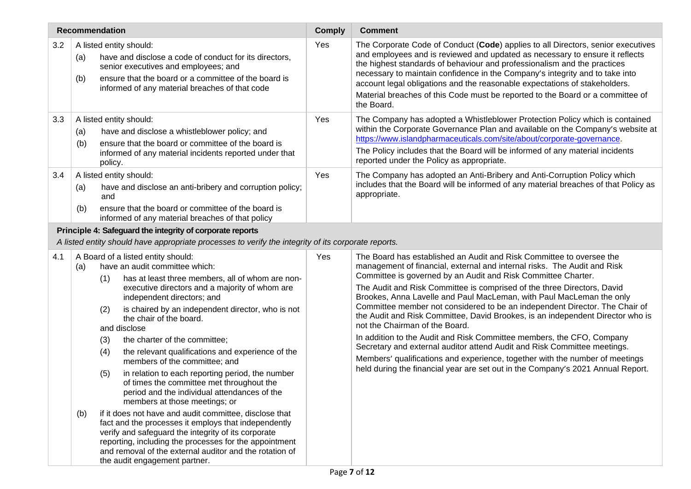|     | <b>Recommendation</b>                                                                                                                                                                                                                                                                                                                                                                                                                                                                                                                                                                                                                                       | <b>Comply</b> | <b>Comment</b>                                                                                                                                                                                                                                                                                                                                                                                                                                                                                                                                                                                                                                                                                                                                                                                                                                                                                  |
|-----|-------------------------------------------------------------------------------------------------------------------------------------------------------------------------------------------------------------------------------------------------------------------------------------------------------------------------------------------------------------------------------------------------------------------------------------------------------------------------------------------------------------------------------------------------------------------------------------------------------------------------------------------------------------|---------------|-------------------------------------------------------------------------------------------------------------------------------------------------------------------------------------------------------------------------------------------------------------------------------------------------------------------------------------------------------------------------------------------------------------------------------------------------------------------------------------------------------------------------------------------------------------------------------------------------------------------------------------------------------------------------------------------------------------------------------------------------------------------------------------------------------------------------------------------------------------------------------------------------|
| 3.2 | A listed entity should:<br>have and disclose a code of conduct for its directors,<br>(a)<br>senior executives and employees; and<br>ensure that the board or a committee of the board is<br>(b)<br>informed of any material breaches of that code                                                                                                                                                                                                                                                                                                                                                                                                           | Yes           | The Corporate Code of Conduct (Code) applies to all Directors, senior executives<br>and employees and is reviewed and updated as necessary to ensure it reflects<br>the highest standards of behaviour and professionalism and the practices<br>necessary to maintain confidence in the Company's integrity and to take into<br>account legal obligations and the reasonable expectations of stakeholders.<br>Material breaches of this Code must be reported to the Board or a committee of<br>the Board.                                                                                                                                                                                                                                                                                                                                                                                      |
| 3.3 | A listed entity should:<br>have and disclose a whistleblower policy; and<br>(a)<br>ensure that the board or committee of the board is<br>(b)<br>informed of any material incidents reported under that<br>policy.                                                                                                                                                                                                                                                                                                                                                                                                                                           | Yes           | The Company has adopted a Whistleblower Protection Policy which is contained<br>within the Corporate Governance Plan and available on the Company's website at<br>https://www.islandpharmaceuticals.com/site/about/corporate-governance.<br>The Policy includes that the Board will be informed of any material incidents<br>reported under the Policy as appropriate.                                                                                                                                                                                                                                                                                                                                                                                                                                                                                                                          |
| 3.4 | A listed entity should:<br>have and disclose an anti-bribery and corruption policy;<br>(a)<br>and<br>ensure that the board or committee of the board is<br>(b)<br>informed of any material breaches of that policy                                                                                                                                                                                                                                                                                                                                                                                                                                          | Yes           | The Company has adopted an Anti-Bribery and Anti-Corruption Policy which<br>includes that the Board will be informed of any material breaches of that Policy as<br>appropriate.                                                                                                                                                                                                                                                                                                                                                                                                                                                                                                                                                                                                                                                                                                                 |
|     | Principle 4: Safeguard the integrity of corporate reports<br>A listed entity should have appropriate processes to verify the integrity of its corporate reports.                                                                                                                                                                                                                                                                                                                                                                                                                                                                                            |               |                                                                                                                                                                                                                                                                                                                                                                                                                                                                                                                                                                                                                                                                                                                                                                                                                                                                                                 |
| 4.1 | A Board of a listed entity should:<br>have an audit committee which:<br>(a)<br>has at least three members, all of whom are non-<br>(1)<br>executive directors and a majority of whom are<br>independent directors; and<br>is chaired by an independent director, who is not<br>(2)<br>the chair of the board.<br>and disclose<br>(3)<br>the charter of the committee;<br>the relevant qualifications and experience of the<br>(4)<br>members of the committee; and<br>(5)<br>in relation to each reporting period, the number<br>of times the committee met throughout the<br>period and the individual attendances of the<br>members at those meetings; or | Yes           | The Board has established an Audit and Risk Committee to oversee the<br>management of financial, external and internal risks. The Audit and Risk<br>Committee is governed by an Audit and Risk Committee Charter.<br>The Audit and Risk Committee is comprised of the three Directors, David<br>Brookes, Anna Lavelle and Paul MacLeman, with Paul MacLeman the only<br>Committee member not considered to be an independent Director. The Chair of<br>the Audit and Risk Committee, David Brookes, is an independent Director who is<br>not the Chairman of the Board.<br>In addition to the Audit and Risk Committee members, the CFO, Company<br>Secretary and external auditor attend Audit and Risk Committee meetings.<br>Members' qualifications and experience, together with the number of meetings<br>held during the financial year are set out in the Company's 2021 Annual Report. |
|     | if it does not have and audit committee, disclose that<br>(b)<br>fact and the processes it employs that independently<br>verify and safeguard the integrity of its corporate<br>reporting, including the processes for the appointment<br>and removal of the external auditor and the rotation of<br>the audit engagement partner.                                                                                                                                                                                                                                                                                                                          |               |                                                                                                                                                                                                                                                                                                                                                                                                                                                                                                                                                                                                                                                                                                                                                                                                                                                                                                 |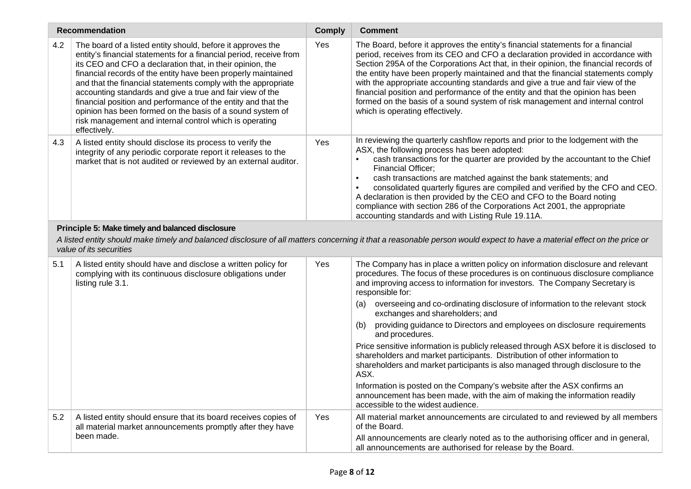| <b>Recommendation</b>                                                                                                                                                                                                                                  |                                                                                                                                                                                                                                                                                                                                                                                                                                                                                                                                                                                                        | <b>Comply</b> | <b>Comment</b>                                                                                                                                                                                                                                                                                                                                                                                                                                                                                                                                                                                                                                                                                                                                                    |  |  |
|--------------------------------------------------------------------------------------------------------------------------------------------------------------------------------------------------------------------------------------------------------|--------------------------------------------------------------------------------------------------------------------------------------------------------------------------------------------------------------------------------------------------------------------------------------------------------------------------------------------------------------------------------------------------------------------------------------------------------------------------------------------------------------------------------------------------------------------------------------------------------|---------------|-------------------------------------------------------------------------------------------------------------------------------------------------------------------------------------------------------------------------------------------------------------------------------------------------------------------------------------------------------------------------------------------------------------------------------------------------------------------------------------------------------------------------------------------------------------------------------------------------------------------------------------------------------------------------------------------------------------------------------------------------------------------|--|--|
| 4.2                                                                                                                                                                                                                                                    | The board of a listed entity should, before it approves the<br>entity's financial statements for a financial period, receive from<br>its CEO and CFO a declaration that, in their opinion, the<br>financial records of the entity have been properly maintained<br>and that the financial statements comply with the appropriate<br>accounting standards and give a true and fair view of the<br>financial position and performance of the entity and that the<br>opinion has been formed on the basis of a sound system of<br>risk management and internal control which is operating<br>effectively. | Yes           | The Board, before it approves the entity's financial statements for a financial<br>period, receives from its CEO and CFO a declaration provided in accordance with<br>Section 295A of the Corporations Act that, in their opinion, the financial records of<br>the entity have been properly maintained and that the financial statements comply<br>with the appropriate accounting standards and give a true and fair view of the<br>financial position and performance of the entity and that the opinion has been<br>formed on the basis of a sound system of risk management and internal control<br>which is operating effectively.                                                                                                                          |  |  |
| 4.3                                                                                                                                                                                                                                                    | A listed entity should disclose its process to verify the<br>integrity of any periodic corporate report it releases to the<br>market that is not audited or reviewed by an external auditor.                                                                                                                                                                                                                                                                                                                                                                                                           | Yes           | In reviewing the quarterly cashflow reports and prior to the lodgement with the<br>ASX, the following process has been adopted:<br>cash transactions for the quarter are provided by the accountant to the Chief<br>Financial Officer;<br>cash transactions are matched against the bank statements; and<br>$\bullet$<br>consolidated quarterly figures are compiled and verified by the CFO and CEO.<br>A declaration is then provided by the CEO and CFO to the Board noting<br>compliance with section 286 of the Corporations Act 2001, the appropriate<br>accounting standards and with Listing Rule 19.11A.                                                                                                                                                 |  |  |
| Principle 5: Make timely and balanced disclosure<br>A listed entity should make timely and balanced disclosure of all matters concerning it that a reasonable person would expect to have a material effect on the price or<br>value of its securities |                                                                                                                                                                                                                                                                                                                                                                                                                                                                                                                                                                                                        |               |                                                                                                                                                                                                                                                                                                                                                                                                                                                                                                                                                                                                                                                                                                                                                                   |  |  |
| 5.1                                                                                                                                                                                                                                                    | A listed entity should have and disclose a written policy for<br>complying with its continuous disclosure obligations under<br>listing rule 3.1.                                                                                                                                                                                                                                                                                                                                                                                                                                                       | Yes           | The Company has in place a written policy on information disclosure and relevant<br>procedures. The focus of these procedures is on continuous disclosure compliance<br>and improving access to information for investors. The Company Secretary is<br>responsible for:<br>overseeing and co-ordinating disclosure of information to the relevant stock<br>(a)<br>exchanges and shareholders; and<br>providing guidance to Directors and employees on disclosure requirements<br>(b)<br>and procedures.<br>Price sensitive information is publicly released through ASX before it is disclosed to<br>shareholders and market participants. Distribution of other information to<br>shareholders and market participants is also managed through disclosure to the |  |  |
|                                                                                                                                                                                                                                                        |                                                                                                                                                                                                                                                                                                                                                                                                                                                                                                                                                                                                        |               | ASX.<br>Information is posted on the Company's website after the ASX confirms an<br>announcement has been made, with the aim of making the information readily<br>accessible to the widest audience.                                                                                                                                                                                                                                                                                                                                                                                                                                                                                                                                                              |  |  |
| 5.2                                                                                                                                                                                                                                                    | A listed entity should ensure that its board receives copies of<br>all material market announcements promptly after they have<br>been made.                                                                                                                                                                                                                                                                                                                                                                                                                                                            | Yes           | All material market announcements are circulated to and reviewed by all members<br>of the Board.<br>All announcements are clearly noted as to the authorising officer and in general,                                                                                                                                                                                                                                                                                                                                                                                                                                                                                                                                                                             |  |  |
|                                                                                                                                                                                                                                                        |                                                                                                                                                                                                                                                                                                                                                                                                                                                                                                                                                                                                        |               | all announcements are authorised for release by the Board.                                                                                                                                                                                                                                                                                                                                                                                                                                                                                                                                                                                                                                                                                                        |  |  |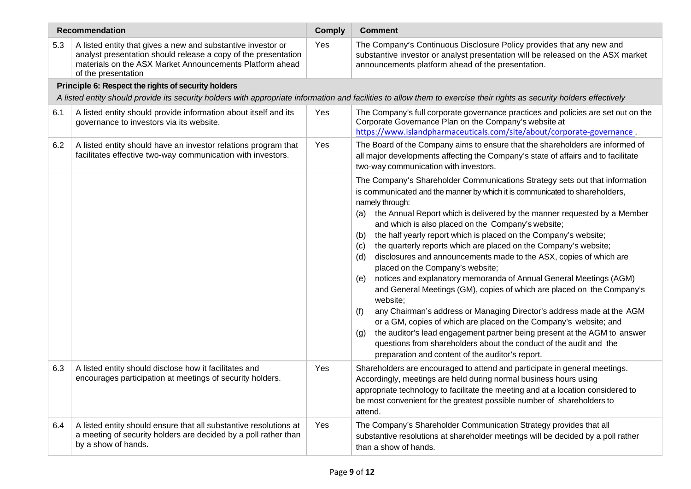| <b>Recommendation</b>                                                                                                                                                  |                                                                                                                                                                                                                   |     | <b>Comment</b>                                                                                                                                                                                                                                                                                                                                                                                                                                                                                                                                                                                                                                                                                                                                                                                                                                                                                                                                                                                                                                                                                                                     |  |  |
|------------------------------------------------------------------------------------------------------------------------------------------------------------------------|-------------------------------------------------------------------------------------------------------------------------------------------------------------------------------------------------------------------|-----|------------------------------------------------------------------------------------------------------------------------------------------------------------------------------------------------------------------------------------------------------------------------------------------------------------------------------------------------------------------------------------------------------------------------------------------------------------------------------------------------------------------------------------------------------------------------------------------------------------------------------------------------------------------------------------------------------------------------------------------------------------------------------------------------------------------------------------------------------------------------------------------------------------------------------------------------------------------------------------------------------------------------------------------------------------------------------------------------------------------------------------|--|--|
| 5.3                                                                                                                                                                    | A listed entity that gives a new and substantive investor or<br>analyst presentation should release a copy of the presentation<br>materials on the ASX Market Announcements Platform ahead<br>of the presentation | Yes | The Company's Continuous Disclosure Policy provides that any new and<br>substantive investor or analyst presentation will be released on the ASX market<br>announcements platform ahead of the presentation.                                                                                                                                                                                                                                                                                                                                                                                                                                                                                                                                                                                                                                                                                                                                                                                                                                                                                                                       |  |  |
|                                                                                                                                                                        | Principle 6: Respect the rights of security holders                                                                                                                                                               |     |                                                                                                                                                                                                                                                                                                                                                                                                                                                                                                                                                                                                                                                                                                                                                                                                                                                                                                                                                                                                                                                                                                                                    |  |  |
| A listed entity should provide its security holders with appropriate information and facilities to allow them to exercise their rights as security holders effectively |                                                                                                                                                                                                                   |     |                                                                                                                                                                                                                                                                                                                                                                                                                                                                                                                                                                                                                                                                                                                                                                                                                                                                                                                                                                                                                                                                                                                                    |  |  |
| 6.1                                                                                                                                                                    | A listed entity should provide information about itself and its<br>governance to investors via its website.                                                                                                       | Yes | The Company's full corporate governance practices and policies are set out on the<br>Corporate Governance Plan on the Company's website at<br>https://www.islandpharmaceuticals.com/site/about/corporate-governance.                                                                                                                                                                                                                                                                                                                                                                                                                                                                                                                                                                                                                                                                                                                                                                                                                                                                                                               |  |  |
| 6.2                                                                                                                                                                    | A listed entity should have an investor relations program that<br>facilitates effective two-way communication with investors.                                                                                     | Yes | The Board of the Company aims to ensure that the shareholders are informed of<br>all major developments affecting the Company's state of affairs and to facilitate<br>two-way communication with investors.                                                                                                                                                                                                                                                                                                                                                                                                                                                                                                                                                                                                                                                                                                                                                                                                                                                                                                                        |  |  |
|                                                                                                                                                                        |                                                                                                                                                                                                                   |     | The Company's Shareholder Communications Strategy sets out that information<br>is communicated and the manner by which it is communicated to shareholders,<br>namely through:<br>the Annual Report which is delivered by the manner requested by a Member<br>(a)<br>and which is also placed on the Company's website;<br>the half yearly report which is placed on the Company's website;<br>(b)<br>the quarterly reports which are placed on the Company's website;<br>(c)<br>disclosures and announcements made to the ASX, copies of which are<br>(d)<br>placed on the Company's website;<br>notices and explanatory memoranda of Annual General Meetings (AGM)<br>(e)<br>and General Meetings (GM), copies of which are placed on the Company's<br>website;<br>any Chairman's address or Managing Director's address made at the AGM<br>(f)<br>or a GM, copies of which are placed on the Company's website; and<br>the auditor's lead engagement partner being present at the AGM to answer<br>(g)<br>questions from shareholders about the conduct of the audit and the<br>preparation and content of the auditor's report. |  |  |
| 6.3                                                                                                                                                                    | A listed entity should disclose how it facilitates and<br>encourages participation at meetings of security holders.                                                                                               | Yes | Shareholders are encouraged to attend and participate in general meetings.<br>Accordingly, meetings are held during normal business hours using<br>appropriate technology to facilitate the meeting and at a location considered to<br>be most convenient for the greatest possible number of shareholders to<br>attend.                                                                                                                                                                                                                                                                                                                                                                                                                                                                                                                                                                                                                                                                                                                                                                                                           |  |  |
| 6.4                                                                                                                                                                    | A listed entity should ensure that all substantive resolutions at<br>a meeting of security holders are decided by a poll rather than<br>by a show of hands.                                                       | Yes | The Company's Shareholder Communication Strategy provides that all<br>substantive resolutions at shareholder meetings will be decided by a poll rather<br>than a show of hands.                                                                                                                                                                                                                                                                                                                                                                                                                                                                                                                                                                                                                                                                                                                                                                                                                                                                                                                                                    |  |  |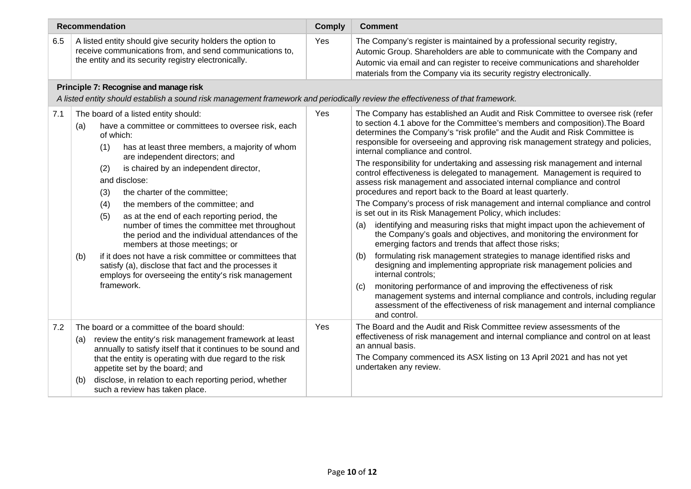|     | <b>Recommendation</b>                                                                                                                                                                                                                                                                                                                                                                                                                                                                                                                                                                                                                                                                                                                                       | <b>Comply</b> | <b>Comment</b>                                                                                                                                                                                                                                                                                                                                                                                                                                                                                                                                                                                                                                                                                                                                                                                                                                                                                                                                                                                                                                                                                                                                                                                                                                                                                                                                                                                                                                                                       |  |  |  |
|-----|-------------------------------------------------------------------------------------------------------------------------------------------------------------------------------------------------------------------------------------------------------------------------------------------------------------------------------------------------------------------------------------------------------------------------------------------------------------------------------------------------------------------------------------------------------------------------------------------------------------------------------------------------------------------------------------------------------------------------------------------------------------|---------------|--------------------------------------------------------------------------------------------------------------------------------------------------------------------------------------------------------------------------------------------------------------------------------------------------------------------------------------------------------------------------------------------------------------------------------------------------------------------------------------------------------------------------------------------------------------------------------------------------------------------------------------------------------------------------------------------------------------------------------------------------------------------------------------------------------------------------------------------------------------------------------------------------------------------------------------------------------------------------------------------------------------------------------------------------------------------------------------------------------------------------------------------------------------------------------------------------------------------------------------------------------------------------------------------------------------------------------------------------------------------------------------------------------------------------------------------------------------------------------------|--|--|--|
| 6.5 | A listed entity should give security holders the option to<br>receive communications from, and send communications to,<br>the entity and its security registry electronically.                                                                                                                                                                                                                                                                                                                                                                                                                                                                                                                                                                              | Yes           | The Company's register is maintained by a professional security registry,<br>Automic Group. Shareholders are able to communicate with the Company and<br>Automic via email and can register to receive communications and shareholder<br>materials from the Company via its security registry electronically.                                                                                                                                                                                                                                                                                                                                                                                                                                                                                                                                                                                                                                                                                                                                                                                                                                                                                                                                                                                                                                                                                                                                                                        |  |  |  |
|     | Principle 7: Recognise and manage risk<br>A listed entity should establish a sound risk management framework and periodically review the effectiveness of that framework.                                                                                                                                                                                                                                                                                                                                                                                                                                                                                                                                                                                   |               |                                                                                                                                                                                                                                                                                                                                                                                                                                                                                                                                                                                                                                                                                                                                                                                                                                                                                                                                                                                                                                                                                                                                                                                                                                                                                                                                                                                                                                                                                      |  |  |  |
| 7.1 | The board of a listed entity should:<br>have a committee or committees to oversee risk, each<br>(a)<br>of which:<br>has at least three members, a majority of whom<br>(1)<br>are independent directors; and<br>is chaired by an independent director,<br>(2)<br>and disclose:<br>the charter of the committee;<br>(3)<br>the members of the committee; and<br>(4)<br>(5)<br>as at the end of each reporting period, the<br>number of times the committee met throughout<br>the period and the individual attendances of the<br>members at those meetings; or<br>if it does not have a risk committee or committees that<br>(b)<br>satisfy (a), disclose that fact and the processes it<br>employs for overseeing the entity's risk management<br>framework. | Yes           | The Company has established an Audit and Risk Committee to oversee risk (refer<br>to section 4.1 above for the Committee's members and composition). The Board<br>determines the Company's "risk profile" and the Audit and Risk Committee is<br>responsible for overseeing and approving risk management strategy and policies,<br>internal compliance and control.<br>The responsibility for undertaking and assessing risk management and internal<br>control effectiveness is delegated to management. Management is required to<br>assess risk management and associated internal compliance and control<br>procedures and report back to the Board at least quarterly.<br>The Company's process of risk management and internal compliance and control<br>is set out in its Risk Management Policy, which includes:<br>identifying and measuring risks that might impact upon the achievement of<br>(a)<br>the Company's goals and objectives, and monitoring the environment for<br>emerging factors and trends that affect those risks;<br>formulating risk management strategies to manage identified risks and<br>(b)<br>designing and implementing appropriate risk management policies and<br>internal controls;<br>monitoring performance of and improving the effectiveness of risk<br>(c)<br>management systems and internal compliance and controls, including regular<br>assessment of the effectiveness of risk management and internal compliance<br>and control. |  |  |  |
| 7.2 | The board or a committee of the board should:<br>review the entity's risk management framework at least<br>(a)<br>annually to satisfy itself that it continues to be sound and<br>that the entity is operating with due regard to the risk<br>appetite set by the board; and<br>disclose, in relation to each reporting period, whether<br>(b)<br>such a review has taken place.                                                                                                                                                                                                                                                                                                                                                                            | Yes           | The Board and the Audit and Risk Committee review assessments of the<br>effectiveness of risk management and internal compliance and control on at least<br>an annual basis.<br>The Company commenced its ASX listing on 13 April 2021 and has not yet<br>undertaken any review.                                                                                                                                                                                                                                                                                                                                                                                                                                                                                                                                                                                                                                                                                                                                                                                                                                                                                                                                                                                                                                                                                                                                                                                                     |  |  |  |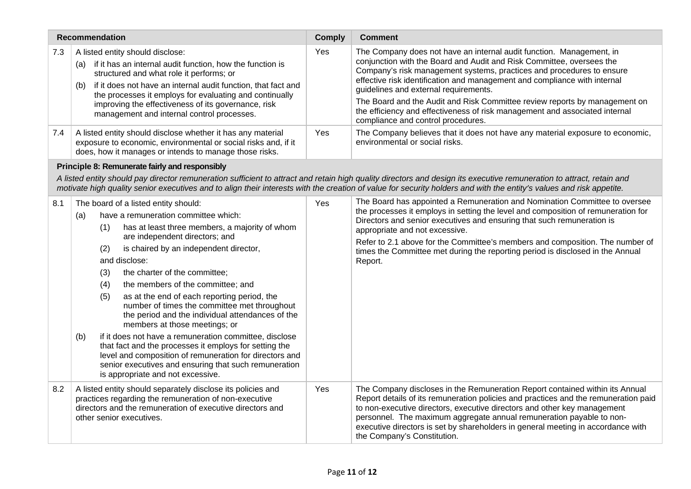| <b>Recommendation</b> |                                                                                                                                                                                                                                                                                                                                                                                                                                                                                                                                                                                                                                                                                                                                                                                                                     | <b>Comply</b> | <b>Comment</b>                                                                                                                                                                                                                                                                                                                                                                                                                                                                                                                                  |
|-----------------------|---------------------------------------------------------------------------------------------------------------------------------------------------------------------------------------------------------------------------------------------------------------------------------------------------------------------------------------------------------------------------------------------------------------------------------------------------------------------------------------------------------------------------------------------------------------------------------------------------------------------------------------------------------------------------------------------------------------------------------------------------------------------------------------------------------------------|---------------|-------------------------------------------------------------------------------------------------------------------------------------------------------------------------------------------------------------------------------------------------------------------------------------------------------------------------------------------------------------------------------------------------------------------------------------------------------------------------------------------------------------------------------------------------|
| 7.3                   | A listed entity should disclose:<br>if it has an internal audit function, how the function is<br>(a)<br>structured and what role it performs; or<br>if it does not have an internal audit function, that fact and<br>(b)<br>the processes it employs for evaluating and continually<br>improving the effectiveness of its governance, risk<br>management and internal control processes.                                                                                                                                                                                                                                                                                                                                                                                                                            | Yes           | The Company does not have an internal audit function. Management, in<br>conjunction with the Board and Audit and Risk Committee, oversees the<br>Company's risk management systems, practices and procedures to ensure<br>effective risk identification and management and compliance with internal<br>guidelines and external requirements.<br>The Board and the Audit and Risk Committee review reports by management on<br>the efficiency and effectiveness of risk management and associated internal<br>compliance and control procedures. |
| 7.4                   | A listed entity should disclose whether it has any material<br>exposure to economic, environmental or social risks and, if it<br>does, how it manages or intends to manage those risks.                                                                                                                                                                                                                                                                                                                                                                                                                                                                                                                                                                                                                             | Yes           | The Company believes that it does not have any material exposure to economic,<br>environmental or social risks.                                                                                                                                                                                                                                                                                                                                                                                                                                 |
|                       | Principle 8: Remunerate fairly and responsibly                                                                                                                                                                                                                                                                                                                                                                                                                                                                                                                                                                                                                                                                                                                                                                      |               |                                                                                                                                                                                                                                                                                                                                                                                                                                                                                                                                                 |
|                       |                                                                                                                                                                                                                                                                                                                                                                                                                                                                                                                                                                                                                                                                                                                                                                                                                     |               | A listed entity should pay director remuneration sufficient to attract and retain high quality directors and design its executive remuneration to attract, retain and<br>motivate high quality senior executives and to align their interests with the creation of value for security holders and with the entity's values and risk appetite.                                                                                                                                                                                                   |
| 8.1                   | The board of a listed entity should:<br>have a remuneration committee which:<br>(a)<br>has at least three members, a majority of whom<br>(1)<br>are independent directors; and<br>is chaired by an independent director,<br>(2)<br>and disclose:<br>the charter of the committee;<br>(3)<br>(4)<br>the members of the committee; and<br>(5)<br>as at the end of each reporting period, the<br>number of times the committee met throughout<br>the period and the individual attendances of the<br>members at those meetings; or<br>if it does not have a remuneration committee, disclose<br>(b)<br>that fact and the processes it employs for setting the<br>level and composition of remuneration for directors and<br>senior executives and ensuring that such remuneration<br>is appropriate and not excessive. | Yes           | The Board has appointed a Remuneration and Nomination Committee to oversee<br>the processes it employs in setting the level and composition of remuneration for<br>Directors and senior executives and ensuring that such remuneration is<br>appropriate and not excessive.<br>Refer to 2.1 above for the Committee's members and composition. The number of<br>times the Committee met during the reporting period is disclosed in the Annual<br>Report.                                                                                       |
| 8.2                   | A listed entity should separately disclose its policies and<br>practices regarding the remuneration of non-executive<br>directors and the remuneration of executive directors and<br>other senior executives.                                                                                                                                                                                                                                                                                                                                                                                                                                                                                                                                                                                                       | Yes           | The Company discloses in the Remuneration Report contained within its Annual<br>Report details of its remuneration policies and practices and the remuneration paid<br>to non-executive directors, executive directors and other key management<br>personnel. The maximum aggregate annual remuneration payable to non-<br>executive directors is set by shareholders in general meeting in accordance with<br>the Company's Constitution.                                                                                                      |